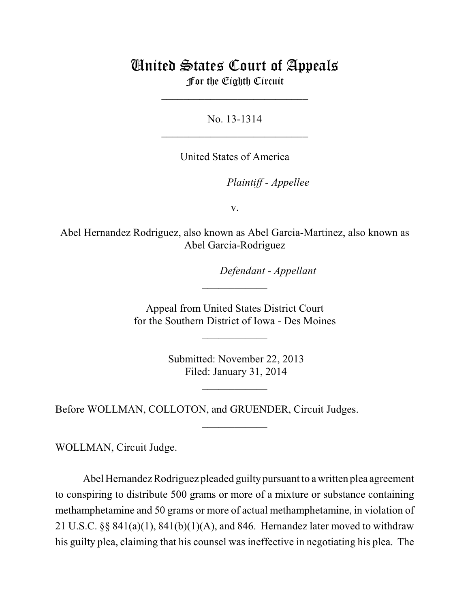# United States Court of Appeals For the Eighth Circuit

\_\_\_\_\_\_\_\_\_\_\_\_\_\_\_\_\_\_\_\_\_\_\_\_\_\_\_

No. 13-1314  $\mathcal{L}_\text{max}$  , which is a set of the set of the set of the set of the set of the set of the set of the set of the set of the set of the set of the set of the set of the set of the set of the set of the set of the set of

United States of America

Plaintiff - Appellee

v.

Abel Hernandez Rodriguez, also known as Abel Garcia-Martinez, also known as Abel Garcia-Rodriguez

lllllllllllllllllllll *Defendant - Appellant*

 Appeal from United States District Court for the Southern District of Iowa - Des Moines

 $\overline{\phantom{a}}$  , where  $\overline{\phantom{a}}$ 

 $\frac{1}{2}$ 

 Submitted: November 22, 2013 Filed: January 31, 2014

 $\frac{1}{2}$ 

 $\frac{1}{2}$ 

Before WOLLMAN, COLLOTON, and GRUENDER, Circuit Judges.

WOLLMAN, Circuit Judge.

Abel Hernandez Rodriguez pleaded guilty pursuant to a written plea agreement to conspiring to distribute 500 grams or more of a mixture or substance containing methamphetamine and 50 grams or more of actual methamphetamine, in violation of 21 U.S.C. §§ 841(a)(1), 841(b)(1)(A), and 846. Hernandez later moved to withdraw his guilty plea, claiming that his counsel was ineffective in negotiating his plea. The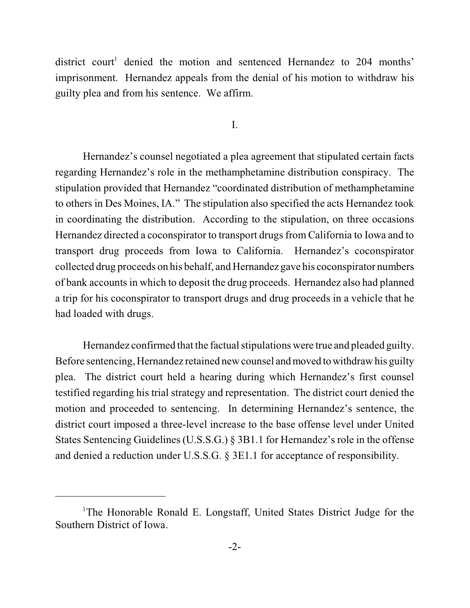district court<sup>1</sup> denied the motion and sentenced Hernandez to  $204$  months' imprisonment. Hernandez appeals from the denial of his motion to withdraw his guilty plea and from his sentence. We affirm.

I.

Hernandez's counsel negotiated a plea agreement that stipulated certain facts regarding Hernandez's role in the methamphetamine distribution conspiracy. The stipulation provided that Hernandez "coordinated distribution of methamphetamine to others in Des Moines, IA." The stipulation also specified the acts Hernandez took in coordinating the distribution. According to the stipulation, on three occasions Hernandez directed a coconspirator to transport drugs from California to Iowa and to transport drug proceeds from Iowa to California. Hernandez's coconspirator collected drug proceeds on his behalf, and Hernandez gave his coconspirator numbers of bank accounts in which to deposit the drug proceeds. Hernandez also had planned a trip for his coconspirator to transport drugs and drug proceeds in a vehicle that he had loaded with drugs.

Hernandez confirmed that the factual stipulations were true and pleaded guilty. Before sentencing, Hernandez retained new counsel and moved to withdraw his guilty plea. The district court held a hearing during which Hernandez's first counsel testified regarding his trial strategy and representation. The district court denied the motion and proceeded to sentencing. In determining Hernandez's sentence, the district court imposed a three-level increase to the base offense level under United States Sentencing Guidelines (U.S.S.G.) § 3B1.1 for Hernandez's role in the offense and denied a reduction under U.S.S.G. § 3E1.1 for acceptance of responsibility.

<sup>&</sup>lt;sup>1</sup>The Honorable Ronald E. Longstaff, United States District Judge for the Southern District of Iowa.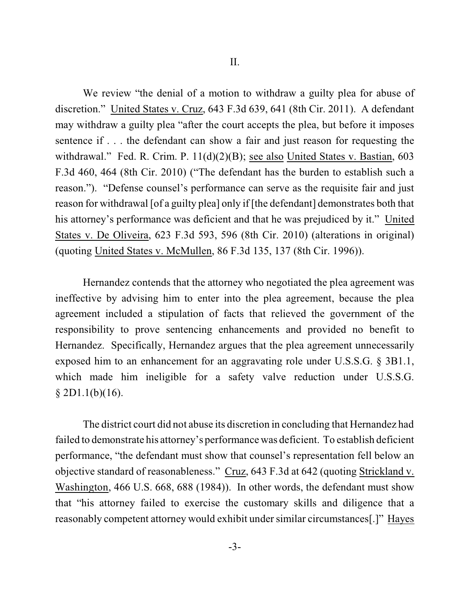We review "the denial of a motion to withdraw a guilty plea for abuse of discretion." United States v. Cruz, 643 F.3d 639, 641 (8th Cir. 2011). A defendant may withdraw a guilty plea "after the court accepts the plea, but before it imposes sentence if . . . the defendant can show a fair and just reason for requesting the withdrawal." Fed. R. Crim. P. 11(d)(2)(B); see also United States v. Bastian, 603 F.3d 460, 464 (8th Cir. 2010) ("The defendant has the burden to establish such a reason."). "Defense counsel's performance can serve as the requisite fair and just reason for withdrawal [of a guilty plea] only if [the defendant] demonstrates both that his attorney's performance was deficient and that he was prejudiced by it." United States v. De Oliveira, 623 F.3d 593, 596 (8th Cir. 2010) (alterations in original) (quoting United States v. McMullen, 86 F.3d 135, 137 (8th Cir. 1996)).

Hernandez contends that the attorney who negotiated the plea agreement was ineffective by advising him to enter into the plea agreement, because the plea agreement included a stipulation of facts that relieved the government of the responsibility to prove sentencing enhancements and provided no benefit to Hernandez. Specifically, Hernandez argues that the plea agreement unnecessarily exposed him to an enhancement for an aggravating role under U.S.S.G. § 3B1.1, which made him ineligible for a safety valve reduction under U.S.S.G.  $§$  2D1.1(b)(16).

The district court did not abuse its discretion in concluding that Hernandez had failed to demonstrate his attorney's performance was deficient. To establish deficient performance, "the defendant must show that counsel's representation fell below an objective standard of reasonableness." Cruz, 643 F.3d at 642 (quoting Strickland v. Washington, 466 U.S. 668, 688 (1984)). In other words, the defendant must show that "his attorney failed to exercise the customary skills and diligence that a reasonably competent attorney would exhibit under similar circumstances[.]" Hayes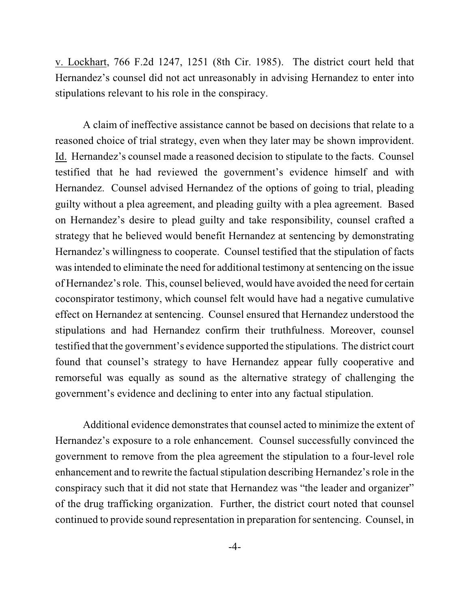v. Lockhart, 766 F.2d 1247, 1251 (8th Cir. 1985). The district court held that Hernandez's counsel did not act unreasonably in advising Hernandez to enter into stipulations relevant to his role in the conspiracy.

A claim of ineffective assistance cannot be based on decisions that relate to a reasoned choice of trial strategy, even when they later may be shown improvident. Id. Hernandez's counsel made a reasoned decision to stipulate to the facts. Counsel testified that he had reviewed the government's evidence himself and with Hernandez. Counsel advised Hernandez of the options of going to trial, pleading guilty without a plea agreement, and pleading guilty with a plea agreement. Based on Hernandez's desire to plead guilty and take responsibility, counsel crafted a strategy that he believed would benefit Hernandez at sentencing by demonstrating Hernandez's willingness to cooperate. Counsel testified that the stipulation of facts was intended to eliminate the need for additional testimony at sentencing on the issue of Hernandez's role. This, counsel believed, would have avoided the need for certain coconspirator testimony, which counsel felt would have had a negative cumulative effect on Hernandez at sentencing. Counsel ensured that Hernandez understood the stipulations and had Hernandez confirm their truthfulness. Moreover, counsel testified that the government's evidence supported the stipulations. The district court found that counsel's strategy to have Hernandez appear fully cooperative and remorseful was equally as sound as the alternative strategy of challenging the government's evidence and declining to enter into any factual stipulation.

Additional evidence demonstrates that counsel acted to minimize the extent of Hernandez's exposure to a role enhancement. Counsel successfully convinced the government to remove from the plea agreement the stipulation to a four-level role enhancement and to rewrite the factual stipulation describing Hernandez's role in the conspiracy such that it did not state that Hernandez was "the leader and organizer" of the drug trafficking organization. Further, the district court noted that counsel continued to provide sound representation in preparation for sentencing. Counsel, in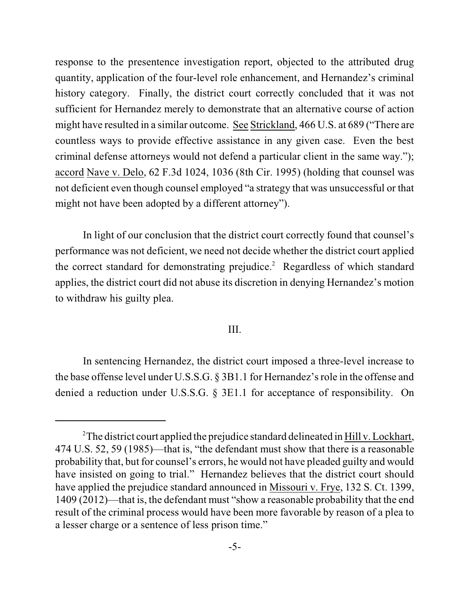response to the presentence investigation report, objected to the attributed drug quantity, application of the four-level role enhancement, and Hernandez's criminal history category. Finally, the district court correctly concluded that it was not sufficient for Hernandez merely to demonstrate that an alternative course of action might have resulted in a similar outcome. See Strickland, 466 U.S. at 689 ("There are countless ways to provide effective assistance in any given case. Even the best criminal defense attorneys would not defend a particular client in the same way."); accord Nave v. Delo, 62 F.3d 1024, 1036 (8th Cir. 1995) (holding that counsel was not deficient even though counsel employed "a strategy that was unsuccessful or that might not have been adopted by a different attorney").

In light of our conclusion that the district court correctly found that counsel's performance was not deficient, we need not decide whether the district court applied the correct standard for demonstrating prejudice.<sup>2</sup> Regardless of which standard applies, the district court did not abuse its discretion in denying Hernandez's motion to withdraw his guilty plea.

### III.

In sentencing Hernandez, the district court imposed a three-level increase to the base offense level under U.S.S.G. § 3B1.1 for Hernandez's role in the offense and denied a reduction under U.S.S.G. § 3E1.1 for acceptance of responsibility. On

<sup>&</sup>lt;sup>2</sup>The district court applied the prejudice standard delineated in  $\underline{Hill}$  v. Lockhart, 474 U.S. 52, 59 (1985)—that is, "the defendant must show that there is a reasonable probability that, but for counsel's errors, he would not have pleaded guilty and would have insisted on going to trial." Hernandez believes that the district court should have applied the prejudice standard announced in Missouri v. Frye, 132 S. Ct. 1399, 1409 (2012)—that is, the defendant must "show a reasonable probability that the end result of the criminal process would have been more favorable by reason of a plea to a lesser charge or a sentence of less prison time."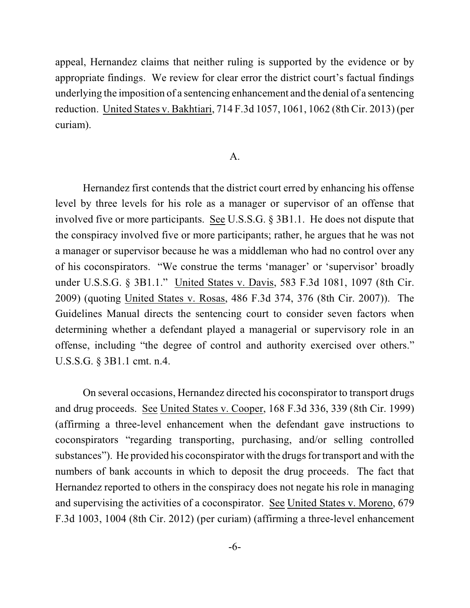appeal, Hernandez claims that neither ruling is supported by the evidence or by appropriate findings. We review for clear error the district court's factual findings underlying the imposition of a sentencing enhancement and the denial of a sentencing reduction. United States v. Bakhtiari, 714 F.3d 1057, 1061, 1062 (8th Cir. 2013) (per curiam).

### A.

Hernandez first contends that the district court erred by enhancing his offense level by three levels for his role as a manager or supervisor of an offense that involved five or more participants. See U.S.S.G. § 3B1.1. He does not dispute that the conspiracy involved five or more participants; rather, he argues that he was not a manager or supervisor because he was a middleman who had no control over any of his coconspirators. "We construe the terms 'manager' or 'supervisor' broadly under U.S.S.G. § 3B1.1." United States v. Davis, 583 F.3d 1081, 1097 (8th Cir. 2009) (quoting United States v. Rosas, 486 F.3d 374, 376 (8th Cir. 2007)). The Guidelines Manual directs the sentencing court to consider seven factors when determining whether a defendant played a managerial or supervisory role in an offense, including "the degree of control and authority exercised over others." U.S.S.G. § 3B1.1 cmt. n.4.

On several occasions, Hernandez directed his coconspirator to transport drugs and drug proceeds. See United States v. Cooper, 168 F.3d 336, 339 (8th Cir. 1999) (affirming a three-level enhancement when the defendant gave instructions to coconspirators "regarding transporting, purchasing, and/or selling controlled substances"). He provided his coconspirator with the drugs for transport and with the numbers of bank accounts in which to deposit the drug proceeds. The fact that Hernandez reported to others in the conspiracy does not negate his role in managing and supervising the activities of a coconspirator. See United States v. Moreno, 679 F.3d 1003, 1004 (8th Cir. 2012) (per curiam) (affirming a three-level enhancement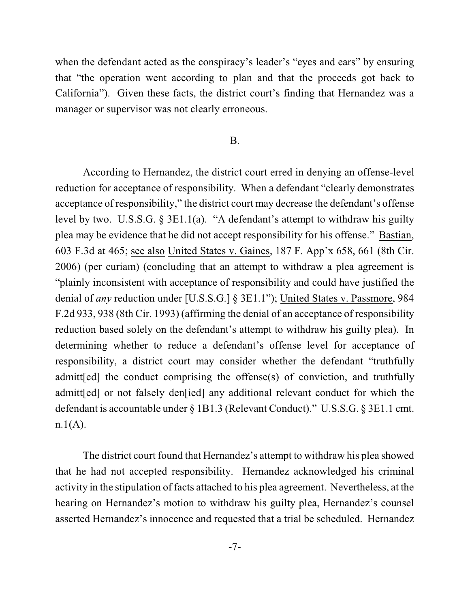when the defendant acted as the conspiracy's leader's "eyes and ears" by ensuring that "the operation went according to plan and that the proceeds got back to California"). Given these facts, the district court's finding that Hernandez was a manager or supervisor was not clearly erroneous.

#### B.

According to Hernandez, the district court erred in denying an offense-level reduction for acceptance of responsibility. When a defendant "clearly demonstrates acceptance of responsibility," the district court may decrease the defendant's offense level by two. U.S.S.G. § 3E1.1(a). "A defendant's attempt to withdraw his guilty plea may be evidence that he did not accept responsibility for his offense." Bastian, 603 F.3d at 465; see also United States v. Gaines, 187 F. App'x 658, 661 (8th Cir. 2006) (per curiam) (concluding that an attempt to withdraw a plea agreement is "plainly inconsistent with acceptance of responsibility and could have justified the denial of *any* reduction under [U.S.S.G.] § 3E1.1"); United States v. Passmore, 984 F.2d 933, 938 (8th Cir. 1993) (affirming the denial of an acceptance of responsibility reduction based solely on the defendant's attempt to withdraw his guilty plea). In determining whether to reduce a defendant's offense level for acceptance of responsibility, a district court may consider whether the defendant "truthfully admitt[ed] the conduct comprising the offense(s) of conviction, and truthfully admitt[ed] or not falsely den[ied] any additional relevant conduct for which the defendant is accountable under § 1B1.3 (Relevant Conduct)." U.S.S.G. § 3E1.1 cmt.  $n.1(A)$ .

The district court found that Hernandez's attempt to withdraw his plea showed that he had not accepted responsibility. Hernandez acknowledged his criminal activity in the stipulation of facts attached to his plea agreement. Nevertheless, at the hearing on Hernandez's motion to withdraw his guilty plea, Hernandez's counsel asserted Hernandez's innocence and requested that a trial be scheduled. Hernandez